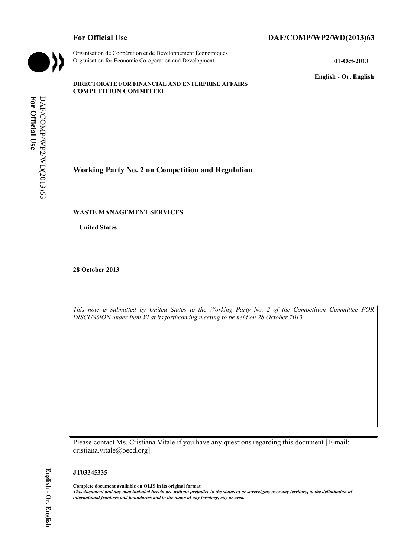Organisation de Coopération et de Développement Économiques Organisation for Economic Co-operation and Development **01-Oct-2013** 

# For Official Use DAF/COMP/WP2/WD(2013)63

**English - Or. English** 

#### **DIRECTORATE FOR FINANCIAL AND ENTERPRISE AFFAIRS COMPETITION COMMITTEE**

For Official Use **For Official Use**  DAF/COMP/WP2/WD(2013)63 DAF/COMP/WP2/WD(2013)63

**Working Party No. 2 on Competition and Regulation** 

### **WASTE MANAGEMENT SERVICES**

**-- United States --** 

**28 October 2013** 

*This note is submitted by United States to the Working Party No. 2 of the Competition Committee FOR DISCUSSION under Item VI at its forthcoming meeting to be held on 28 October 2013.* 

Please contact Ms. Cristiana Vitale if you have any questions regarding this document [E-mail: cristiana.vitale@oecd.org].

#### **JT03345335**

 **Complete document available on OLIS in its original format**   *This document and any map included herein are without prejudice to the status of or sovereignty over any territory, to the delimitation of international frontiers and boundaries and to the name of any territory, city or area.*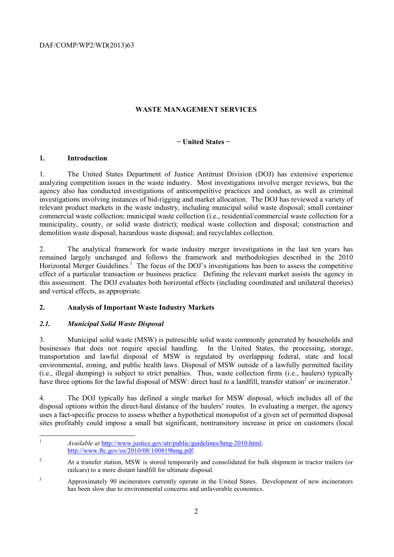DAF/COMP/WP2/WD(2013)63

## **WASTE MANAGEMENT SERVICES**

### **− United States −**

## **1. Introduction**

 analyzing competition issues in the waste industry. Most investigations involve merger reviews, but the 1. The United States Department of Justice Antitrust Division (DOJ) has extensive experience agency also has conducted investigations of anticompetitive practices and conduct, as well as criminal investigations involving instances of bid-rigging and market allocation. The DOJ has reviewed a variety of relevant product markets in the waste industry, including municipal solid waste disposal; small container commercial waste collection; municipal waste collection (i.e., residential/commercial waste collection for a municipality, county, or solid waste district); medical waste collection and disposal; construction and demolition waste disposal; hazardous waste disposal; and recyclables collection.

 2. The analytical framework for waste industry merger investigations in the last ten years has remained largely unchanged and follows the framework and methodologies described in the 2010 Horizontal Merger Guidelines.<sup>1</sup> The focus of the DOJ's investigations has been to assess the competitive effect of a particular transaction or business practice. Defining the relevant market assists the agency in this assessment. The DOJ evaluates both horizontal effects (including coordinated and unilateral theories) and vertical effects, as appropriate.

# **2. Analysis of Important Waste Industry Markets**

# *2.1. Municipal Solid Waste Disposal*

 $\overline{a}$ 

3. Municipal solid waste (MSW) is putrescible solid waste commonly generated by households and businesses that does not require special handling. In the United States, the processing, storage, transportation and lawful disposal of MSW is regulated by overlapping federal, state and local environmental, zoning, and public health laws. Disposal of MSW outside of a lawfully permitted facility (i.e., illegal dumping) is subject to strict penalties. Thus, waste collection firms (i.e., haulers) typically have three options for the lawful disposal of MSW: direct haul to a landfill, transfer station<sup>2</sup> or incinerator.<sup>3</sup>

4. The DOJ typically has defined a single market for MSW disposal, which includes all of the disposal options within the direct-haul distance of the haulers' routes. In evaluating a merger, the agency uses a fact-specific process to assess whether a hypothetical monopolist of a given set of permitted disposal sites profitably could impose a small but significant, nontransitory increase in price on customers (local

<sup>1</sup>*Available at* http://www.justice.gov/atr/public/guidelines/hmg-2010.html; http://www.ftc.gov/os/2010/08/100819hmg.pdf.

<sup>&</sup>lt;sup>2</sup> At a transfer station, MSW is stored temporarily and consolidated for bulk shipment in tractor trailers (or railcars) to a more distant landfill for ultimate disposal.

<sup>&</sup>lt;sup>3</sup> Approximately 90 incinerators currently operate in the United States. Development of new incinerators has been slow due to environmental concerns and unfavorable economics.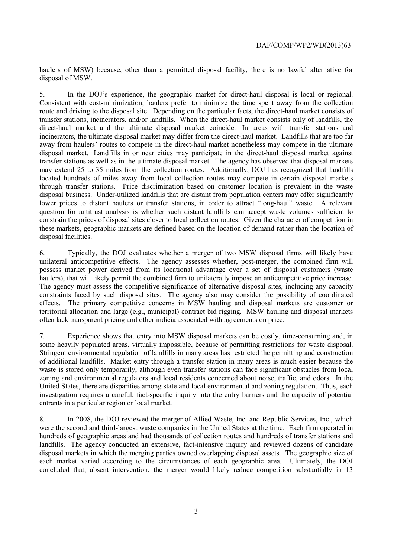haulers of MSW) because, other than a permitted disposal facility, there is no lawful alternative for disposal of MSW.

In the DOJ's experience, the geographic market for direct-haul disposal is local or regional. 5. In the DOJ's experience, the geographic market for direct-haul disposal is local or regional. Consistent with cost-minimization, haulers prefer to minimize the time spent away from the collection route and driving to the disposal site. Depending on the particular facts, the direct-haul market consists of transfer stations, incinerators, and/or landfills. When the direct-haul market consists only of landfills, the direct-haul market and the ultimate disposal market coincide. In areas with transfer stations and incinerators, the ultimate disposal market may differ from the direct-haul market. Landfills that are too far away from haulers' routes to compete in the direct-haul market nonetheless may compete in the ultimate disposal market. Landfills in or near cities may participate in the direct-haul disposal market against transfer stations as well as in the ultimate disposal market. The agency has observed that disposal markets may extend 25 to 35 miles from the collection routes. Additionally, DOJ has recognized that landfills located hundreds of miles away from local collection routes may compete in certain disposal markets through transfer stations. Price discrimination based on customer location is prevalent in the waste disposal business. Under-utilized landfills that are distant from population centers may offer significantly lower prices to distant haulers or transfer stations, in order to attract "long-haul" waste. A relevant question for antitrust analysis is whether such distant landfills can accept waste volumes sufficient to constrain the prices of disposal sites closer to local collection routes. Given the character of competition in these markets, geographic markets are defined based on the location of demand rather than the location of disposal facilities.

 haulers), that will likely permit the combined firm to unilaterally impose an anticompetitive price increase. 6. Typically, the DOJ evaluates whether a merger of two MSW disposal firms will likely have unilateral anticompetitive effects. The agency assesses whether, post-merger, the combined firm will possess market power derived from its locational advantage over a set of disposal customers (waste The agency must assess the competitive significance of alternative disposal sites, including any capacity constraints faced by such disposal sites. The agency also may consider the possibility of coordinated effects. The primary competitive concerns in MSW hauling and disposal markets are customer or territorial allocation and large (e.g., municipal) contract bid rigging. MSW hauling and disposal markets often lack transparent pricing and other indicia associated with agreements on price.

 some heavily populated areas, virtually impossible, because of permitting restrictions for waste disposal. zoning and environmental regulators and local residents concerned about noise, traffic, and odors. In the 7. Experience shows that entry into MSW disposal markets can be costly, time-consuming and, in Stringent environmental regulation of landfills in many areas has restricted the permitting and construction of additional landfills. Market entry through a transfer station in many areas is much easier because the waste is stored only temporarily, although even transfer stations can face significant obstacles from local United States, there are disparities among state and local environmental and zoning regulation. Thus, each investigation requires a careful, fact-specific inquiry into the entry barriers and the capacity of potential entrants in a particular region or local market.

8. In 2008, the DOJ reviewed the merger of Allied Waste, Inc. and Republic Services, Inc., which were the second and third-largest waste companies in the United States at the time. Each firm operated in hundreds of geographic areas and had thousands of collection routes and hundreds of transfer stations and landfills. The agency conducted an extensive, fact-intensive inquiry and reviewed dozens of candidate disposal markets in which the merging parties owned overlapping disposal assets. The geographic size of each market varied according to the circumstances of each geographic area. Ultimately, the DOJ concluded that, absent intervention, the merger would likely reduce competition substantially in 13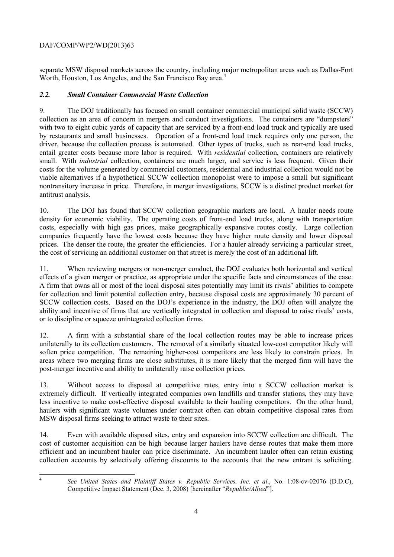# DAF/COMP/WP2/WD(2013)63

Worth, Houston, Los Angeles, and the San Francisco Bay area.<sup>4</sup> separate MSW disposal markets across the country, including major metropolitan areas such as Dallas-Fort

# *2.2. Small Container Commercial Waste Collection*

9. The DOJ traditionally has focused on small container commercial municipal solid waste (SCCW) collection as an area of concern in mergers and conduct investigations. The containers are "dumpsters" with two to eight cubic yards of capacity that are serviced by a front-end load truck and typically are used by restaurants and small businesses. Operation of a front-end load truck requires only one person, the driver, because the collection process is automated. Other types of trucks, such as rear-end load trucks, entail greater costs because more labor is required. With *residential* collection, containers are relatively small. With *industrial* collection, containers are much larger, and service is less frequent. Given their costs for the volume generated by commercial customers, residential and industrial collection would not be viable alternatives if a hypothetical SCCW collection monopolist were to impose a small but significant nontransitory increase in price. Therefore, in merger investigations, SCCW is a distinct product market for antitrust analysis.

 prices. The denser the route, the greater the efficiencies. For a hauler already servicing a particular street, 10. The DOJ has found that SCCW collection geographic markets are local. A hauler needs route density for economic viability. The operating costs of front-end load trucks, along with transportation costs, especially with high gas prices, make geographically expansive routes costly. Large collection companies frequently have the lowest costs because they have higher route density and lower disposal the cost of servicing an additional customer on that street is merely the cost of an additional lift.

 11. When reviewing mergers or non-merger conduct, the DOJ evaluates both horizontal and vertical effects of a given merger or practice, as appropriate under the specific facts and circumstances of the case. A firm that owns all or most of the local disposal sites potentially may limit its rivals' abilities to compete for collection and limit potential collection entry, because disposal costs are approximately 30 percent of SCCW collection costs. Based on the DOJ's experience in the industry, the DOJ often will analyze the ability and incentive of firms that are vertically integrated in collection and disposal to raise rivals' costs, or to discipline or squeeze unintegrated collection firms.

 areas where two merging firms are close substitutes, it is more likely that the merged firm will have the 12. A firm with a substantial share of the local collection routes may be able to increase prices unilaterally to its collection customers. The removal of a similarly situated low-cost competitor likely will soften price competition. The remaining higher-cost competitors are less likely to constrain prices. In post-merger incentive and ability to unilaterally raise collection prices.

13. Without access to disposal at competitive rates, entry into a SCCW collection market is extremely difficult. If vertically integrated companies own landfills and transfer stations, they may have less incentive to make cost-effective disposal available to their hauling competitors. On the other hand, haulers with significant waste volumes under contract often can obtain competitive disposal rates from MSW disposal firms seeking to attract waste to their sites.

 14. Even with available disposal sites, entry and expansion into SCCW collection are difficult. The collection accounts by selectively offering discounts to the accounts that the new entrant is soliciting. cost of customer acquisition can be high because larger haulers have dense routes that make them more efficient and an incumbent hauler can price discriminate. An incumbent hauler often can retain existing

 4

*See United States and Plaintiff States v. Republic Services, Inc. et al*., No. 1:08-cv-02076 (D.D.C), Competitive Impact Statement (Dec. 3, 2008) [hereinafter "*Republic/Allied*"].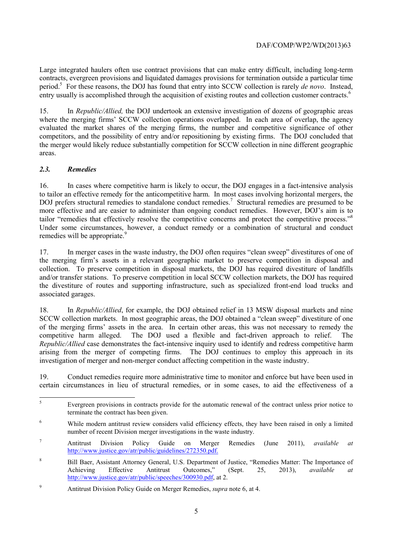period.<sup>5</sup> For these reasons, the DOJ has found that entry into SCCW collection is rarely *de novo*. Instead, Large integrated haulers often use contract provisions that can make entry difficult, including long-term contracts, evergreen provisions and liquidated damages provisions for termination outside a particular time entry usually is accomplished through the acquisition of existing routes and collection customer contracts.<sup>6</sup>

15. In *Republic/Allied,* the DOJ undertook an extensive investigation of dozens of geographic areas where the merging firms' SCCW collection operations overlapped. In each area of overlap, the agency evaluated the market shares of the merging firms, the number and competitive significance of other competitors, and the possibility of entry and/or repositioning by existing firms. The DOJ concluded that the merger would likely reduce substantially competition for SCCW collection in nine different geographic areas.

# *2.3. Remedies*

 $\overline{a}$ 

tailor "remedies that effectively resolve the competitive concerns and protect the competitive process."<sup>8</sup> 16. In cases where competitive harm is likely to occur, the DOJ engages in a fact-intensive analysis to tailor an effective remedy for the anticompetitive harm. In most cases involving horizontal mergers, the DOJ prefers structural remedies to standalone conduct remedies.<sup>7</sup> Structural remedies are presumed to be more effective and are easier to administer than ongoing conduct remedies. However, DOJ's aim is to Under some circumstances, however, a conduct remedy or a combination of structural and conduct remedies will be appropriate.<sup>9</sup>

 collection. To preserve competition in disposal markets, the DOJ has required divestiture of landfills and/or transfer stations. To preserve competition in local SCCW collection markets, the DOJ has required 17. In merger cases in the waste industry, the DOJ often requires "clean sweep" divestitures of one of the merging firm's assets in a relevant geographic market to preserve competition in disposal and the divestiture of routes and supporting infrastructure, such as specialized front-end load trucks and associated garages.

investigation of merger and non-merger conduct affecting competition in the waste industry. 18. In *Republic/Allied*, for example, the DOJ obtained relief in 13 MSW disposal markets and nine SCCW collection markets. In most geographic areas, the DOJ obtained a "clean sweep" divestiture of one of the merging firms' assets in the area. In certain other areas, this was not necessary to remedy the competitive harm alleged. The DOJ used a flexible and fact-driven approach to relief. The *Republic/Allied* case demonstrates the fact-intensive inquiry used to identify and redress competitive harm arising from the merger of competing firms. The DOJ continues to employ this approach in its

19. Conduct remedies require more administrative time to monitor and enforce but have been used in certain circumstances in lieu of structural remedies, or in some cases, to aid the effectiveness of a

<sup>5</sup> Evergreen provisions in contracts provide for the automatic renewal of the contract unless prior notice to terminate the contract has been given.

<sup>&</sup>lt;sup>6</sup> While modern antitrust review considers valid efficiency effects, they have been raised in only a limited number of recent Division merger investigations in the waste industry.

<sup>7</sup> Antitrust Division Policy Guide on Merger Remedies (June 2011), *available at*  http://www.justice.gov/atr/public/guidelines/272350.pdf.

<sup>8</sup> Bill Baer, Assistant Attorney General, U.S. Department of Justice, "Remedies Matter: The Importance of Achieving Effective Antitrust Outcomes," (Sept. 25, 2013), *available at*  http://www.justice.gov/atr/public/speeches/300930.pdf, at 2.

<sup>9</sup> Antitrust Division Policy Guide on Merger Remedies, *supra* note 6, at 4.